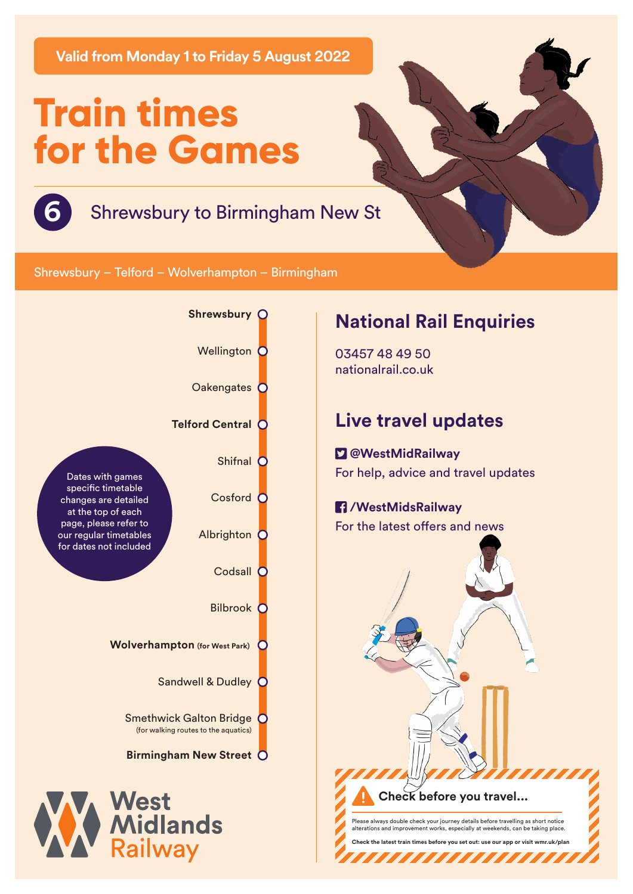**Valid from Monday 1 to Friday 5 August 2022**

# **Train times for the Games**



**6** Shrewsbury to Birmingham New St

Shrewsbury – Telford – Wolverhampton – Birmingham



# **National Rail Enquiries**

03457 48 49 50 nationalrail.co.uk

# **Live travel updates**

 **@WestMidRailway** For help, advice and travel updates

### **/WestMidsRailway** For the latest offers and news